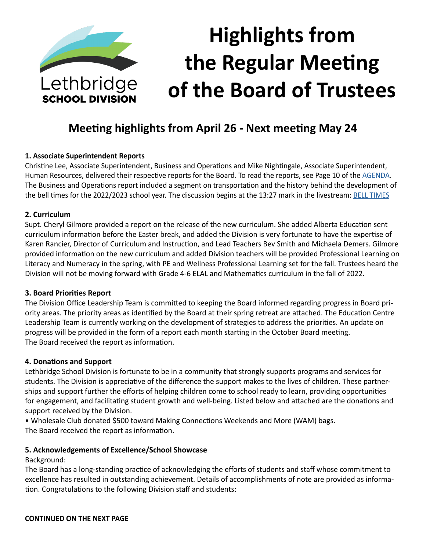

# **Highlights from the Regular Meeting of the Board of Trustees**

# **Meeting highlights from April 26 - Next meeting May 24**

#### **1. Associate Superintendent Reports**

Christine Lee, Associate Superintendent, Business and Operations and Mike Nightingale, Associate Superintendent, Human Resources, delivered their respective reports for the Board. To read the reports, see Page 10 of the [AGENDA](https://www.lethsd.ab.ca/download/387329). The Business and Operations report included a segment on transportation and the history behind the development of the bell times for the 2022/2023 school year. The discussion begins at the 13:27 mark in the livestream: [BELL TIMES](https://www.youtube.com/watch?v=mEO8OWOo7Uw)

#### **2. Curriculum**

Supt. Cheryl Gilmore provided a report on the release of the new curriculum. She added Alberta Education sent curriculum information before the Easter break, and added the Division is very fortunate to have the expertise of Karen Rancier, Director of Curriculum and Instruction, and Lead Teachers Bev Smith and Michaela Demers. Gilmore provided information on the new curriculum and added Division teachers will be provided Professional Learning on Literacy and Numeracy in the spring, with PE and Wellness Professional Learning set for the fall. Trustees heard the Division will not be moving forward with Grade 4-6 ELAL and Mathematics curriculum in the fall of 2022.

#### **3. Board Priorities Report**

The Division Office Leadership Team is committed to keeping the Board informed regarding progress in Board priority areas. The priority areas as identified by the Board at their spring retreat are attached. The Education Centre Leadership Team is currently working on the development of strategies to address the priorities. An update on progress will be provided in the form of a report each month starting in the October Board meeting. The Board received the report as information.

#### **4. Donations and Support**

Lethbridge School Division is fortunate to be in a community that strongly supports programs and services for students. The Division is appreciative of the difference the support makes to the lives of children. These partnerships and support further the efforts of helping children come to school ready to learn, providing opportunities for engagement, and facilitating student growth and well-being. Listed below and attached are the donations and support received by the Division.

• Wholesale Club donated \$500 toward Making Connections Weekends and More (WAM) bags. The Board received the report as information.

#### **5. Acknowledgements of Excellence/School Showcase**

Background:

The Board has a long-standing practice of acknowledging the efforts of students and staff whose commitment to excellence has resulted in outstanding achievement. Details of accomplishments of note are provided as information. Congratulations to the following Division staff and students: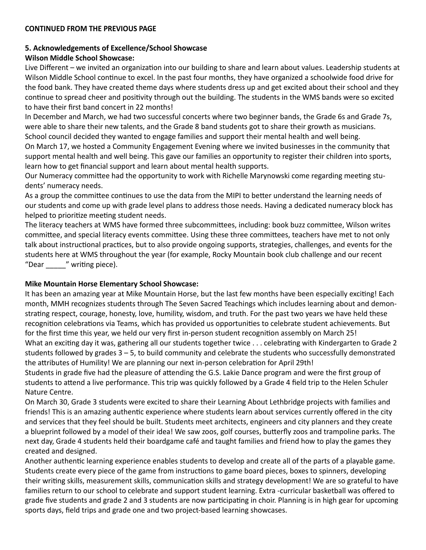#### **5. Acknowledgements of Excellence/School Showcase**

#### **Wilson Middle School Showcase:**

Live Different – we invited an organization into our building to share and learn about values. Leadership students at Wilson Middle School continue to excel. In the past four months, they have organized a schoolwide food drive for the food bank. They have created theme days where students dress up and get excited about their school and they continue to spread cheer and positivity through out the building. The students in the WMS bands were so excited to have their first band concert in 22 months!

In December and March, we had two successful concerts where two beginner bands, the Grade 6s and Grade 7s, were able to share their new talents, and the Grade 8 band students got to share their growth as musicians. School council decided they wanted to engage families and support their mental health and well being.

On March 17, we hosted a Community Engagement Evening where we invited businesses in the community that support mental health and well being. This gave our families an opportunity to register their children into sports, learn how to get financial support and learn about mental health supports.

Our Numeracy committee had the opportunity to work with Richelle Marynowski come regarding meeting students' numeracy needs.

As a group the committee continues to use the data from the MIPI to better understand the learning needs of our students and come up with grade level plans to address those needs. Having a dedicated numeracy block has helped to prioritize meeting student needs.

The literacy teachers at WMS have formed three subcommittees, including: book buzz committee, Wilson writes committee, and special literacy events committee. Using these three committees, teachers have met to not only talk about instructional practices, but to also provide ongoing supports, strategies, challenges, and events for the students here at WMS throughout the year (for example, Rocky Mountain book club challenge and our recent "Dear \_\_\_\_\_" writing piece).

#### **Mike Mountain Horse Elementary School Showcase:**

It has been an amazing year at Mike Mountain Horse, but the last few months have been especially exciting! Each month, MMH recognizes students through The Seven Sacred Teachings which includes learning about and demonstrating respect, courage, honesty, love, humility, wisdom, and truth. For the past two years we have held these recognition celebrations via Teams, which has provided us opportunities to celebrate student achievements. But for the first time this year, we held our very first in-person student recognition assembly on March 25! What an exciting day it was, gathering all our students together twice . . . celebrating with Kindergarten to Grade 2 students followed by grades 3 – 5, to build community and celebrate the students who successfully demonstrated the attributes of Humility! We are planning our next in-person celebration for April 29th!

Students in grade five had the pleasure of attending the G.S. Lakie Dance program and were the first group of students to attend a live performance. This trip was quickly followed by a Grade 4 field trip to the Helen Schuler Nature Centre.

On March 30, Grade 3 students were excited to share their Learning About Lethbridge projects with families and friends! This is an amazing authentic experience where students learn about services currently offered in the city and services that they feel should be built. Students meet architects, engineers and city planners and they create a blueprint followed by a model of their idea! We saw zoos, golf courses, butterfly zoos and trampoline parks. The next day, Grade 4 students held their boardgame café and taught families and friend how to play the games they created and designed.

Another authentic learning experience enables students to develop and create all of the parts of a playable game. Students create every piece of the game from instructions to game board pieces, boxes to spinners, developing their writing skills, measurement skills, communication skills and strategy development! We are so grateful to have families return to our school to celebrate and support student learning. Extra -curricular basketball was offered to grade five students and grade 2 and 3 students are now participating in choir. Planning is in high gear for upcoming sports days, field trips and grade one and two project-based learning showcases.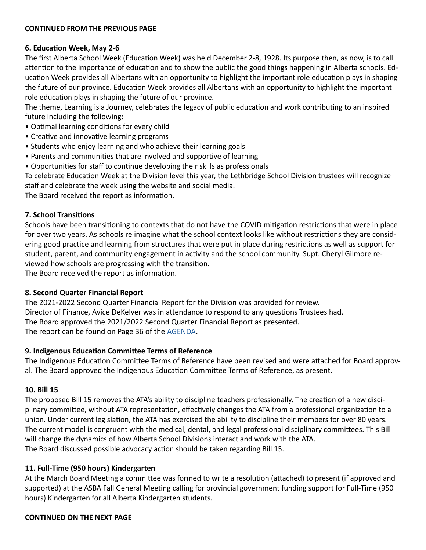## **6. Education Week, May 2-6**

The first Alberta School Week (Education Week) was held December 2-8, 1928. Its purpose then, as now, is to call attention to the importance of education and to show the public the good things happening in Alberta schools. Education Week provides all Albertans with an opportunity to highlight the important role education plays in shaping the future of our province. Education Week provides all Albertans with an opportunity to highlight the important role education plays in shaping the future of our province.

The theme, Learning is a Journey, celebrates the legacy of public education and work contributing to an inspired future including the following:

- Optimal learning conditions for every child
- Creative and innovative learning programs
- Students who enjoy learning and who achieve their learning goals
- Parents and communities that are involved and supportive of learning
- Opportunities for staff to continue developing their skills as professionals

To celebrate Education Week at the Division level this year, the Lethbridge School Division trustees will recognize staff and celebrate the week using the website and social media.

The Board received the report as information.

#### **7. School Transitions**

Schools have been transitioning to contexts that do not have the COVID mitigation restrictions that were in place for over two years. As schools re imagine what the school context looks like without restrictions they are considering good practice and learning from structures that were put in place during restrictions as well as support for student, parent, and community engagement in activity and the school community. Supt. Cheryl Gilmore reviewed how schools are progressing with the transition.

The Board received the report as information.

#### **8. Second Quarter Financial Report**

The 2021-2022 Second Quarter Financial Report for the Division was provided for review. Director of Finance, Avice DeKelver was in attendance to respond to any questions Trustees had. The Board approved the 2021/2022 Second Quarter Financial Report as presented. The report can be found on Page 36 of the [AGENDA.](https://www.lethsd.ab.ca/download/387329)

#### **9. Indigenous Education Committee Terms of Reference**

The Indigenous Education Committee Terms of Reference have been revised and were attached for Board approval. The Board approved the Indigenous Education Committee Terms of Reference, as present.

#### **10. Bill 15**

The proposed Bill 15 removes the ATA's ability to discipline teachers professionally. The creation of a new disciplinary committee, without ATA representation, effectively changes the ATA from a professional organization to a union. Under current legislation, the ATA has exercised the ability to discipline their members for over 80 years. The current model is congruent with the medical, dental, and legal professional disciplinary committees. This Bill will change the dynamics of how Alberta School Divisions interact and work with the ATA. The Board discussed possible advocacy action should be taken regarding Bill 15.

#### **11. Full-Time (950 hours) Kindergarten**

At the March Board Meeting a committee was formed to write a resolution (attached) to present (if approved and supported) at the ASBA Fall General Meeting calling for provincial government funding support for Full-Time (950 hours) Kindergarten for all Alberta Kindergarten students.

#### **CONTINUED ON THE NEXT PAGE**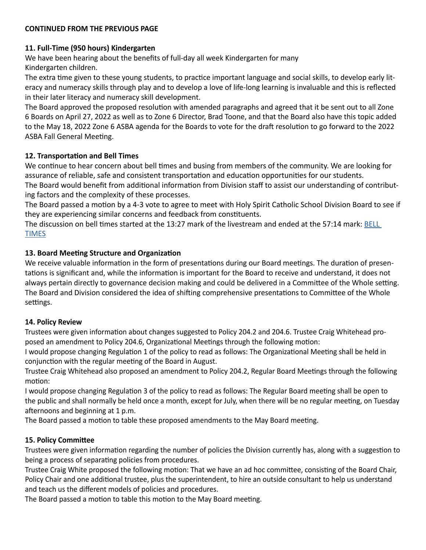# **11. Full-Time (950 hours) Kindergarten**

We have been hearing about the benefits of full-day all week Kindergarten for many Kindergarten children.

The extra time given to these young students, to practice important language and social skills, to develop early literacy and numeracy skills through play and to develop a love of life-long learning is invaluable and this is reflected in their later literacy and numeracy skill development.

The Board approved the proposed resolution with amended paragraphs and agreed that it be sent out to all Zone 6 Boards on April 27, 2022 as well as to Zone 6 Director, Brad Toone, and that the Board also have this topic added to the May 18, 2022 Zone 6 ASBA agenda for the Boards to vote for the draft resolution to go forward to the 2022 ASBA Fall General Meeting.

# **12. Transportation and Bell Times**

We continue to hear concern about bell times and busing from members of the community. We are looking for assurance of reliable, safe and consistent transportation and education opportunities for our students.

The Board would benefit from additional information from Division staff to assist our understanding of contributing factors and the complexity of these processes.

The Board passed a motion by a 4-3 vote to agree to meet with Holy Spirit Catholic School Division Board to see if they are experiencing similar concerns and feedback from constituents.

The discussion on bell times started at the 13:27 mark of the livestream and ended at the 57:14 mark: [BELL](https://www.youtube.com/watch?v=mEO8OWOo7Uw)  **[TIMES](https://www.youtube.com/watch?v=mEO8OWOo7Uw)** 

# **13. Board Meeting Structure and Organization**

We receive valuable information in the form of presentations during our Board meetings. The duration of presentations is significant and, while the information is important for the Board to receive and understand, it does not always pertain directly to governance decision making and could be delivered in a Committee of the Whole setting. The Board and Division considered the idea of shifting comprehensive presentations to Committee of the Whole settings.

# **14. Policy Review**

Trustees were given information about changes suggested to Policy 204.2 and 204.6. Trustee Craig Whitehead proposed an amendment to Policy 204.6, Organizational Meetings through the following motion:

I would propose changing Regulation 1 of the policy to read as follows: The Organizational Meeting shall be held in conjunction with the regular meeting of the Board in August.

Trustee Craig Whitehead also proposed an amendment to Policy 204.2, Regular Board Meetings through the following motion:

I would propose changing Regulation 3 of the policy to read as follows: The Regular Board meeting shall be open to the public and shall normally be held once a month, except for July, when there will be no regular meeting, on Tuesday afternoons and beginning at 1 p.m.

The Board passed a motion to table these proposed amendments to the May Board meeting.

# **15. Policy Committee**

Trustees were given information regarding the number of policies the Division currently has, along with a suggestion to being a process of separating policies from procedures.

Trustee Craig White proposed the following motion: That we have an ad hoc committee, consisting of the Board Chair, Policy Chair and one additional trustee, plus the superintendent, to hire an outside consultant to help us understand and teach us the different models of policies and procedures.

The Board passed a motion to table this motion to the May Board meeting.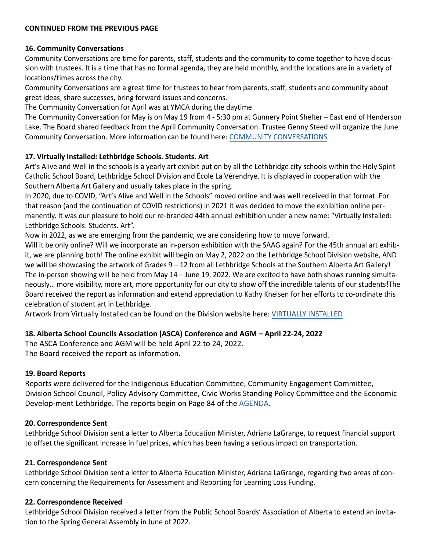#### **16. Community Conversations**

Community Conversations are time for parents, staff, students and the community to come together to have discussion with trustees. It is a time that has no formal agenda, they are held monthly, and the locations are in a variety of locations/times across the city.

Community Conversations are a great time for trustees to hear from parents, staff, students and community about great ideas, share successes, bring forward issues and concerns.

The Community Conversation for April was at YMCA during the daytime.

The Community Conversation for May is on May 19 from 4 - 5:30 pm at Gunnery Point Shelter – East end of Henderson Lake. The Board shared feedback from the April Community Conversation. Trustee Genny Steed will organize the June Community Conversation. More information can be found here: C[OMMUNITY CONVERSATIONS](https://lethsdcommunityengagement.schoolsites.ca/current-community-engagement-projects/community-conversations)

#### **17. Virtually Installed: Lethbridge Schools. Students. Art**

Art's Alive and Well in the schools is a yearly art exhibit put on by all the Lethbridge city schools within the Holy Spirit Catholic School Board, Lethbridge School Division and École La Vérendrye. It is displayed in cooperation with the Southern Alberta Art Gallery and usually takes place in the spring.

In 2020, due to COVID, "Art's Alive and Well in the Schools" moved online and was well received in that format. For that reason (and the continuation of COVID restrictions) in 2021 it was decided to move the exhibition online permanently. It was our pleasure to hold our re-branded 44th annual exhibition under a new name: "Virtually Installed: Lethbridge Schools. Students. Art".

Now in 2022, as we are emerging from the pandemic, we are considering how to move forward.

Will it be only online? Will we incorporate an in-person exhibition with the SAAG again? For the 45th annual art exhibit, we are planning both! The online exhibit will begin on May 2, 2022 on the Lethbridge School Division website, AND we will be showcasing the artwork of Grades  $9 - 12$  from all Lethbridge Schools at the Southern Alberta Art Gallery! The in-person showing will be held from May 14 – June 19, 2022. We are excited to have both shows running simultaneously… more visibility, more art, more opportunity for our city to show off the incredible talents of our students!The Board received the report as information and extend appreciation to Kathy Knelsen for her efforts to co-ordinate this celebration of student art in Lethbridge.

Artwork from Virtually Installed can be found on the Division website here: [VIRTUALLY INSTALLED](https://www.lethsd.ab.ca/departments/instructional-services/virtually-installed-lethbridge-schools-students-art2)

### **18. Alberta School Councils Association (ASCA) Conference and AGM – April 22-24, 2022**

The ASCA Conference and AGM will be held April 22 to 24, 2022. The Board received the report as information.

#### **19. Board Reports**

Reports were delivered for the Indigenous Education Committee, Community Engagement Committee, Division School Council, Policy Advisory Committee, Civic Works Standing Policy Committee and the Economic Develop-ment Lethbridge. The reports begin on Page 84 of the [AGENDA](https://www.lethsd.ab.ca/download/387329).

#### **20. Correspondence Sent**

Lethbridge School Division sent a letter to Alberta Education Minister, Adriana LaGrange, to request financial support to offset the significant increase in fuel prices, which has been having a serious impact on transportation.

#### **21. Correspondence Sent**

Lethbridge School Division sent a letter to Alberta Education Minister, Adriana LaGrange, regarding two areas of concern concerning the Requirements for Assessment and Reporting for Learning Loss Funding.

#### **22. Correspondence Received**

Lethbridge School Division received a letter from the Public School Boards' Association of Alberta to extend an invitation to the Spring General Assembly in June of 2022.